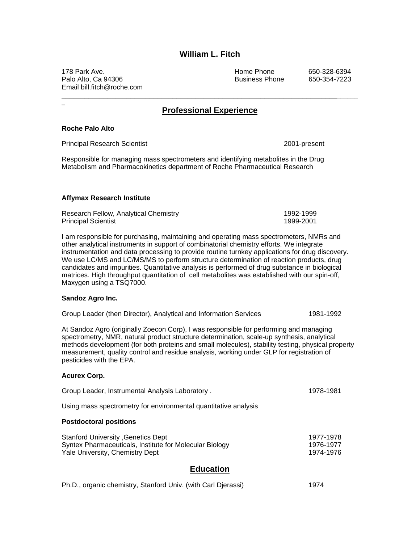# **William L. Fitch**

178 Park Ave. Home Phone 650-328-6394 Palo Alto, Ca 94306 **Business Phone** 650-354-7223 Email bill.fitch@roche.com

## **Professional Experience**

\_\_\_\_\_\_\_\_\_\_\_\_\_\_\_\_\_\_\_\_\_\_\_\_\_\_\_\_\_\_\_\_\_\_\_\_\_\_\_\_\_\_\_\_\_\_\_\_\_\_\_\_\_\_\_\_\_\_\_\_\_\_\_\_\_\_\_\_\_\_\_\_\_\_\_\_\_\_

#### **Roche Palo Alto**

 $\overline{a}$ 

Principal Research Scientist 2001-present

Responsible for managing mass spectrometers and identifying metabolites in the Drug Metabolism and Pharmacokinetics department of Roche Pharmaceutical Research

#### **Affymax Research Institute**

| Research Fellow, Analytical Chemistry | 1992-1999 |
|---------------------------------------|-----------|
| <b>Principal Scientist</b>            | 1999-2001 |

I am responsible for purchasing, maintaining and operating mass spectrometers, NMRs and other analytical instruments in support of combinatorial chemistry efforts. We integrate instrumentation and data processing to provide routine turnkey applications for drug discovery. We use LC/MS and LC/MS/MS to perform structure determination of reaction products, drug candidates and impurities. Quantitative analysis is performed of drug substance in biological matrices. High throughput quantitation of cell metabolites was established with our spin-off, Maxygen using a TSQ7000.

#### **Sandoz Agro Inc.**

|  |  |  |  | Group Leader (then Director), Analytical and Information Services | 1981-1992 |
|--|--|--|--|-------------------------------------------------------------------|-----------|
|--|--|--|--|-------------------------------------------------------------------|-----------|

At Sandoz Agro (originally Zoecon Corp), I was responsible for performing and managing spectrometry, NMR, natural product structure determination, scale-up synthesis, analytical methods development (for both proteins and small molecules), stability testing, physical property measurement, quality control and residue analysis, working under GLP for registration of pesticides with the EPA.

#### **Acurex Corp.**

| Group Leader, Instrumental Analysis Laboratory. | 1978-1981 |
|-------------------------------------------------|-----------|
|                                                 |           |

Using mass spectrometry for environmental quantitative analysis

#### **Postdoctoral positions**

| Stanford University , Genetics Dept                     | 1977-1978 |
|---------------------------------------------------------|-----------|
| Syntex Pharmaceuticals, Institute for Molecular Biology | 1976-1977 |
| Yale University, Chemistry Dept                         | 1974-1976 |

### **Education**

| Ph.D., organic chemistry, Stanford Univ. (with Carl Djerassi) | 1974 |
|---------------------------------------------------------------|------|
|---------------------------------------------------------------|------|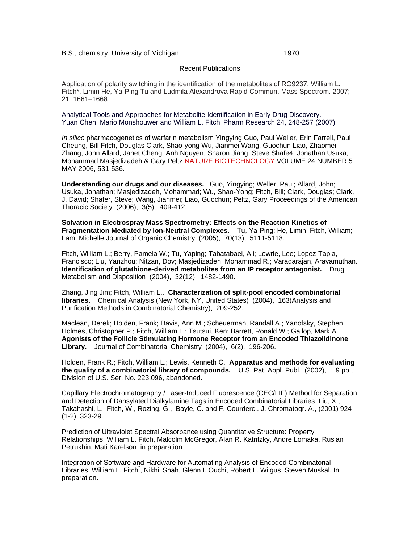#### B.S., chemistry, University of Michigan 1970

#### Recent Publications

Application of polarity switching in the identification of the metabolites of RO9237. William L. Fitch\*, Limin He, Ya-Ping Tu and Ludmila Alexandrova Rapid Commun. Mass Spectrom. 2007; 21: 1661–1668

Analytical Tools and Approaches for Metabolite Identification in Early Drug Discovery. Yuan Chen, Mario Monshouwer and William L. Fitch Pharm Research 24, 248-257 (2007)

*In silico* pharmacogenetics of warfarin metabolism Yingying Guo, Paul Weller, Erin Farrell, Paul Cheung, Bill Fitch, Douglas Clark, Shao-yong Wu, Jianmei Wang, Guochun Liao, Zhaomei Zhang, John Allard, Janet Cheng, Anh Nguyen, Sharon Jiang, Steve Shafe4, Jonathan Usuka, Mohammad Masjedizadeh & Gary Peltz NATURE BIOTECHNOLOGY VOLUME 24 NUMBER 5 MAY 2006, 531-536.

**Understanding our drugs and our diseases.** Guo, Yingying; Weller, Paul; Allard, John; Usuka, Jonathan; Masjedizadeh, Mohammad; Wu, Shao-Yong; Fitch, Bill; Clark, Douglas; Clark, J. David; Shafer, Steve; Wang, Jianmei; Liao, Guochun; Peltz, Gary Proceedings of the American Thoracic Society (2006), 3(5), 409-412.

**Solvation in Electrospray Mass Spectrometry: Effects on the Reaction Kinetics of Fragmentation Mediated by Ion-Neutral Complexes.** Tu, Ya-Ping; He, Limin; Fitch, William; Lam, Michelle Journal of Organic Chemistry (2005), 70(13), 5111-5118.

Fitch, William L.; Berry, Pamela W.; Tu, Yaping; Tabatabaei, Ali; Lowrie, Lee; Lopez-Tapia, Francisco; Liu, Yanzhou; Nitzan, Dov; Masjedizadeh, Mohammad R.; Varadarajan, Aravamuthan. **Identification of glutathione-derived metabolites from an IP receptor antagonist.** Drug Metabolism and Disposition (2004), 32(12), 1482-1490.

Zhang, Jing Jim; Fitch, William L.. **Characterization of split-pool encoded combinatorial libraries.** Chemical Analysis (New York, NY, United States) (2004), 163(Analysis and Purification Methods in Combinatorial Chemistry), 209-252.

Maclean, Derek; Holden, Frank; Davis, Ann M.; Scheuerman, Randall A.; Yanofsky, Stephen; Holmes, Christopher P.; Fitch, William L.; Tsutsui, Ken; Barrett, Ronald W.; Gallop, Mark A. **Agonists of the Follicle Stimulating Hormone Receptor from an Encoded Thiazolidinone Library.** Journal of Combinatorial Chemistry (2004), 6(2), 196-206.

Holden, Frank R.; Fitch, William L.; Lewis, Kenneth C. **Apparatus and methods for evaluating the quality of a combinatorial library of compounds.** U.S. Pat. Appl. Publ. (2002), 9 pp., Division of U.S. Ser. No. 223,096, abandoned.

Capillary Electrochromatography / Laser-Induced Fluorescence (CEC/LIF) Method for Separation and Detection of Dansylated Dialkylamine Tags in Encoded Combinatorial Libraries Liu, X., Takahashi, L., Fitch, W., Rozing, G., Bayle, C. and F. Courderc.. J. Chromatogr. A., (2001) 924 (1-2), 323-29.

Prediction of Ultraviolet Spectral Absorbance using Quantitative Structure: Property Relationships. William L. Fitch, Malcolm McGregor, Alan R. Katritzky, Andre Lomaka, Ruslan Petrukhin, Mati Karelson in preparation

Integration of Software and Hardware for Automating Analysis of Encoded Combinatorial Libraries. William L. Fitch<sup>\*</sup>, Nikhil Shah, Glenn I. Ouchi, Robert L. Wilgus, Steven Muskal. In preparation.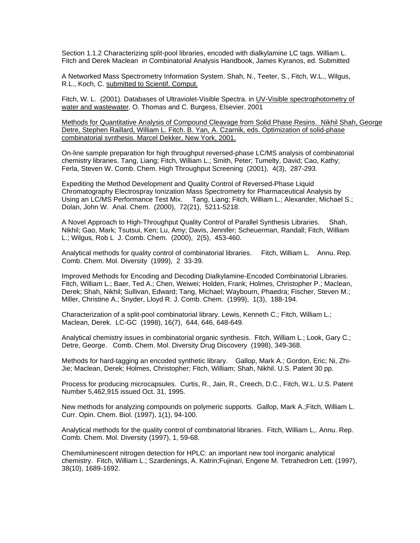Section 1.1.2 Characterizing split-pool libraries, encoded with dialkylamine LC tags. William L. Fitch and Derek Maclean in Combinatorial Analysis Handbook, James Kyranos, ed. Submitted

A Networked Mass Spectrometry Information System. Shah, N., Teeter, S., Fitch, W.L., Wilgus, R.L., Koch, C. submitted to Scientif. Comput.

Fitch, W. L. (2001). Databases of Ultraviolet-Visible Spectra. in UV-Visible spectrophotometry of water and wastewater. O. Thomas and C. Burgess, Elsevier. 2001

Methods for Quantitative Analysis of Compound Cleavage from Solid Phase Resins. Nikhil Shah, George Detre, Stephen Raillard, William L. Fitch. B. Yan, A. Czarnik, eds. Optimization of solid-phase combinatorial synthesis. Marcel Dekker, New York, 2001.

On-line sample preparation for high throughput reversed-phase LC/MS analysis of combinatorial chemistry libraries. Tang, Liang; Fitch, William L.; Smith, Peter; Tumelty, David; Cao, Kathy; Ferla, Steven W. Comb. Chem. High Throughput Screening (2001), 4(3), 287-293.

Expediting the Method Development and Quality Control of Reversed-Phase Liquid Chromatography Electrospray Ionization Mass Spectrometry for Pharmaceutical Analysis by Using an LC/MS Performance Test Mix. Tang, Liang; Fitch, William L.; Alexander, Michael S.; Dolan, John W. Anal. Chem. (2000), 72(21), 5211-5218.

A Novel Approach to High-Throughput Quality Control of Parallel Synthesis Libraries. Shah, Nikhil; Gao, Mark; Tsutsui, Ken; Lu, Amy; Davis, Jennifer; Scheuerman, Randall; Fitch, William L.; Wilgus, Rob L J. Comb. Chem. (2000), 2(5), 453-460.

Analytical methods for quality control of combinatorial libraries. Fitch, William L. Annu. Rep. Comb. Chem. Mol. Diversity (1999), 2 33-39.

Improved Methods for Encoding and Decoding Dialkylamine-Encoded Combinatorial Libraries. Fitch, William L.; Baer, Ted A.; Chen, Weiwei; Holden, Frank; Holmes, Christopher P.; Maclean, Derek; Shah, Nikhil; Sullivan, Edward; Tang, Michael; Waybourn, Phaedra; Fischer, Steven M.; Miller, Christine A.; Snyder, Lloyd R. J. Comb. Chem. (1999), 1(3), 188-194.

Characterization of a split-pool combinatorial library. Lewis, Kenneth C.; Fitch, William L.; Maclean, Derek. LC-GC (1998), 16(7), 644, 646, 648-649.

Analytical chemistry issues in combinatorial organic synthesis. Fitch, William L.; Look, Gary C.; Detre, George. Comb. Chem. Mol. Diversity Drug Discovery (1998), 349-368.

Methods for hard-tagging an encoded synthetic library. Gallop, Mark A.; Gordon, Eric; Ni, Zhi-Jie; Maclean, Derek; Holmes, Christopher; Fitch, William; Shah, Nikhil. U.S. Patent 30 pp.

Process for producing microcapsules. Curtis, R., Jain, R., Creech, D.C., Fitch, W.L. U.S. Patent Number 5,462,915 issued Oct. 31, 1995.

New methods for analyzing compounds on polymeric supports. Gallop, Mark A.;Fitch, William L. Curr. Opin. Chem. Biol. (1997), 1(1), 94-100.

Analytical methods for the quality control of combinatorial libraries. Fitch, William L,. Annu. Rep. Comb. Chem. Mol. Diversity (1997), 1, 59-68.

Chemiluminescent nitrogen detection for HPLC: an important new tool inorganic analytical chemistry. Fitch, William L.; Szardenings, A. Katrin;Fujinari, Engene M. Tetrahedron Lett. (1997), 38(10), 1689-1692.